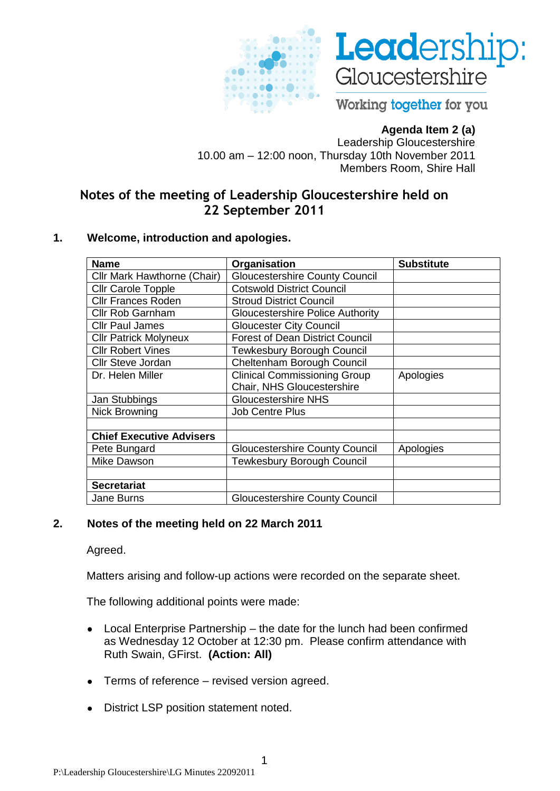



Working together for you

## **Agenda Item 2 (a)**

Leadership Gloucestershire 10.00 am – 12:00 noon, Thursday 10th November 2011 Members Room, Shire Hall

# **Notes of the meeting of Leadership Gloucestershire held on 22 September 2011**

#### **1. Welcome, introduction and apologies.**

| <b>Name</b>                     | Organisation                            | <b>Substitute</b> |
|---------------------------------|-----------------------------------------|-------------------|
| Cllr Mark Hawthorne (Chair)     | <b>Gloucestershire County Council</b>   |                   |
| Cllr Carole Topple              | <b>Cotswold District Council</b>        |                   |
| <b>Cllr Frances Roden</b>       | <b>Stroud District Council</b>          |                   |
| <b>Cllr Rob Garnham</b>         | <b>Gloucestershire Police Authority</b> |                   |
| <b>Cllr Paul James</b>          | <b>Gloucester City Council</b>          |                   |
| <b>Cllr Patrick Molyneux</b>    | <b>Forest of Dean District Council</b>  |                   |
| <b>Cllr Robert Vines</b>        | <b>Tewkesbury Borough Council</b>       |                   |
| <b>Cllr Steve Jordan</b>        | Cheltenham Borough Council              |                   |
| Dr. Helen Miller                | <b>Clinical Commissioning Group</b>     | Apologies         |
|                                 | Chair, NHS Gloucestershire              |                   |
| Jan Stubbings                   | <b>Gloucestershire NHS</b>              |                   |
| <b>Nick Browning</b>            | <b>Job Centre Plus</b>                  |                   |
|                                 |                                         |                   |
| <b>Chief Executive Advisers</b> |                                         |                   |
| Pete Bungard                    | <b>Gloucestershire County Council</b>   | Apologies         |
| <b>Mike Dawson</b>              | <b>Tewkesbury Borough Council</b>       |                   |
|                                 |                                         |                   |
| <b>Secretariat</b>              |                                         |                   |
| <b>Jane Burns</b>               | <b>Gloucestershire County Council</b>   |                   |

#### **2. Notes of the meeting held on 22 March 2011**

Agreed.

Matters arising and follow-up actions were recorded on the separate sheet.

The following additional points were made:

- Local Enterprise Partnership the date for the lunch had been confirmed  $\bullet$ as Wednesday 12 October at 12:30 pm. Please confirm attendance with Ruth Swain, GFirst. **(Action: All)**
- Terms of reference revised version agreed.  $\bullet$
- District LSP position statement noted.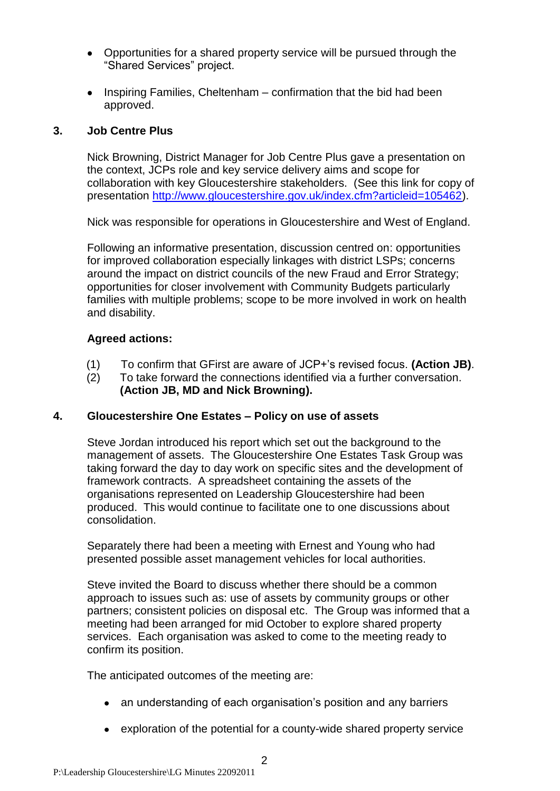- Opportunities for a shared property service will be pursued through the "Shared Services" project.
- $\bullet$ Inspiring Families, Cheltenham – confirmation that the bid had been approved.

### **3. Job Centre Plus**

Nick Browning, District Manager for Job Centre Plus gave a presentation on the context, JCPs role and key service delivery aims and scope for collaboration with key Gloucestershire stakeholders. (See this link for copy of presentation [http://www.gloucestershire.gov.uk/index.cfm?articleid=105462\)](http://www.gloucestershire.gov.uk/index.cfm?articleid=105462).

Nick was responsible for operations in Gloucestershire and West of England.

Following an informative presentation, discussion centred on: opportunities for improved collaboration especially linkages with district LSPs; concerns around the impact on district councils of the new Fraud and Error Strategy; opportunities for closer involvement with Community Budgets particularly families with multiple problems; scope to be more involved in work on health and disability.

### **Agreed actions:**

- (1) To confirm that GFirst are aware of JCP+'s revised focus. **(Action JB)**.
- (2) To take forward the connections identified via a further conversation. **(Action JB, MD and Nick Browning).**

### **4. Gloucestershire One Estates – Policy on use of assets**

Steve Jordan introduced his report which set out the background to the management of assets. The Gloucestershire One Estates Task Group was taking forward the day to day work on specific sites and the development of framework contracts. A spreadsheet containing the assets of the organisations represented on Leadership Gloucestershire had been produced. This would continue to facilitate one to one discussions about consolidation.

Separately there had been a meeting with Ernest and Young who had presented possible asset management vehicles for local authorities.

Steve invited the Board to discuss whether there should be a common approach to issues such as: use of assets by community groups or other partners; consistent policies on disposal etc. The Group was informed that a meeting had been arranged for mid October to explore shared property services. Each organisation was asked to come to the meeting ready to confirm its position.

The anticipated outcomes of the meeting are:

- an understanding of each organisation's position and any barriers
- exploration of the potential for a county-wide shared property service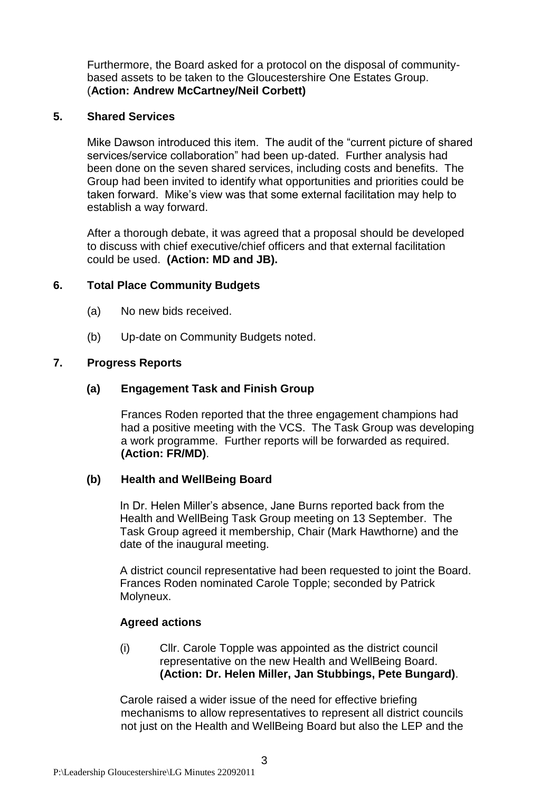Furthermore, the Board asked for a protocol on the disposal of communitybased assets to be taken to the Gloucestershire One Estates Group. (**Action: Andrew McCartney/Neil Corbett)**

### **5. Shared Services**

Mike Dawson introduced this item. The audit of the "current picture of shared services/service collaboration" had been up-dated. Further analysis had been done on the seven shared services, including costs and benefits. The Group had been invited to identify what opportunities and priorities could be taken forward. Mike's view was that some external facilitation may help to establish a way forward.

After a thorough debate, it was agreed that a proposal should be developed to discuss with chief executive/chief officers and that external facilitation could be used. **(Action: MD and JB).**

### **6. Total Place Community Budgets**

- (a) No new bids received.
- (b) Up-date on Community Budgets noted.

### **7. Progress Reports**

### **(a) Engagement Task and Finish Group**

Frances Roden reported that the three engagement champions had had a positive meeting with the VCS. The Task Group was developing a work programme. Further reports will be forwarded as required. **(Action: FR/MD)**.

#### **(b) Health and WellBeing Board**

In Dr. Helen Miller's absence, Jane Burns reported back from the Health and WellBeing Task Group meeting on 13 September. The Task Group agreed it membership, Chair (Mark Hawthorne) and the date of the inaugural meeting.

A district council representative had been requested to joint the Board. Frances Roden nominated Carole Topple; seconded by Patrick Molyneux.

### **Agreed actions**

(i) Cllr. Carole Topple was appointed as the district council representative on the new Health and WellBeing Board. **(Action: Dr. Helen Miller, Jan Stubbings, Pete Bungard)**.

Carole raised a wider issue of the need for effective briefing mechanisms to allow representatives to represent all district councils not just on the Health and WellBeing Board but also the LEP and the